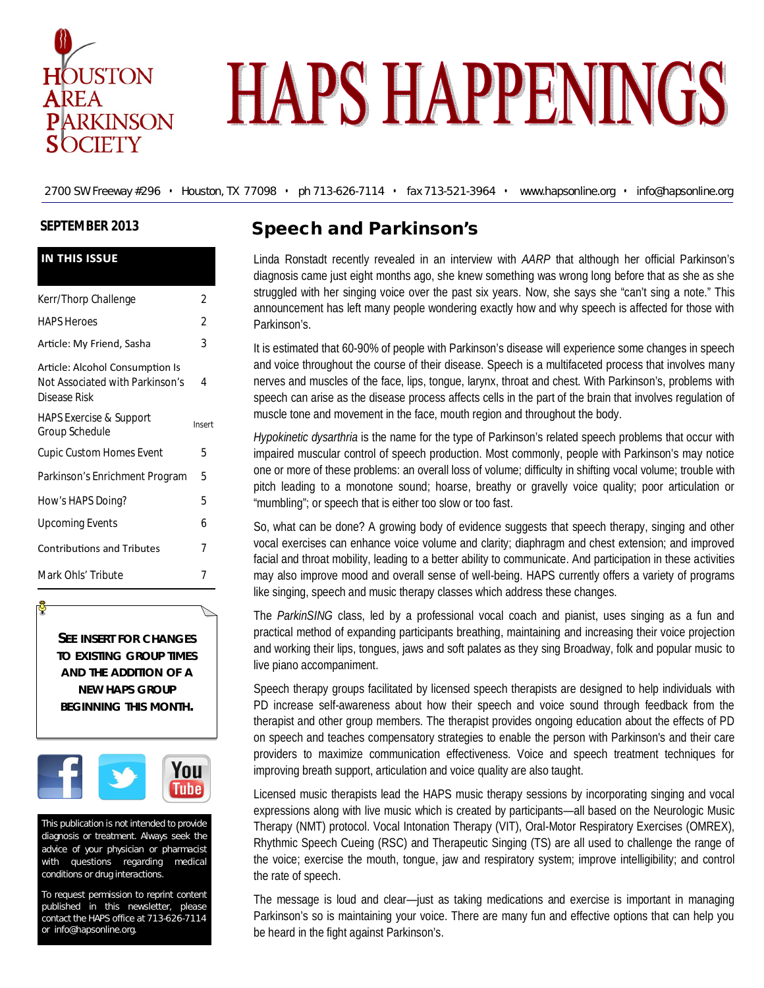

# **HAPS HAPPENINGS**

2700 SW Freeway #296 • Houston, TX 77098 • ph 713-626-7114 • fax 713-521-3964 • www.hapsonline.org • info@hapsonline.org

#### **SEPTEMBER 2013**

| <b>IN THIS ISSUE</b>                                                               |        |  |
|------------------------------------------------------------------------------------|--------|--|
| Kerr/Thorp Challenge                                                               | 2      |  |
| <b>HAPS Heroes</b>                                                                 | 2      |  |
| Article: My Friend, Sasha                                                          | 3      |  |
| Article: Alcohol Consumption Is<br>Not Associated with Parkinson's<br>Disease Risk | 4      |  |
| <b>HAPS Exercise &amp; Support</b><br>Group Schedule                               | Insert |  |
| <b>Cupic Custom Homes Event</b>                                                    | 5      |  |
| Parkinson's Enrichment Program                                                     | 5      |  |
| How's HAPS Doing?                                                                  | 5      |  |
| <b>Upcoming Events</b>                                                             | 6      |  |
| <b>Contributions and Tributes</b>                                                  | 7      |  |
| Mark Ohls' Tribute                                                                 | 7      |  |

**SEE INSERT FOR CHANGES TO EXISTING GROUP TIMES AND THE ADDITION OF A NEW HAPS GROUP BEGINNING THIS MONTH.** 



This publication is not intended to provide diagnosis or treatment. Always seek the advice of your physician or pharmacist with questions regarding medical conditions or drug interactions.

To request permission to reprint content published in this newsletter, please contact the HAPS office at 713-626-7114 or info@hapsonline.org.

# **Speech and Parkinson's**

Linda Ronstadt recently revealed in an interview with *AARP* that although her official Parkinson's diagnosis came just eight months ago, she knew something was wrong long before that as she as she struggled with her singing voice over the past six years. Now, she says she "can't sing a note." This announcement has left many people wondering exactly how and why speech is affected for those with Parkinson's.

It is estimated that 60-90% of people with Parkinson's disease will experience some changes in speech and voice throughout the course of their disease. Speech is a multifaceted process that involves many nerves and muscles of the face, lips, tongue, larynx, throat and chest. With Parkinson's, problems with speech can arise as the disease process affects cells in the part of the brain that involves regulation of muscle tone and movement in the face, mouth region and throughout the body.

*Hypokinetic dysarthria* is the name for the type of Parkinson's related speech problems that occur with impaired muscular control of speech production. Most commonly, people with Parkinson's may notice one or more of these problems: an overall loss of volume; difficulty in shifting vocal volume; trouble with pitch leading to a monotone sound; hoarse, breathy or gravelly voice quality; poor articulation or "mumbling"; or speech that is either too slow or too fast.

So, what can be done? A growing body of evidence suggests that speech therapy, singing and other vocal exercises can enhance voice volume and clarity; diaphragm and chest extension; and improved facial and throat mobility, leading to a better ability to communicate. And participation in these activities may also improve mood and overall sense of well-being. HAPS currently offers a variety of programs like singing, speech and music therapy classes which address these changes.

The *ParkinSING* class, led by a professional vocal coach and pianist, uses singing as a fun and practical method of expanding participants breathing, maintaining and increasing their voice projection and working their lips, tongues, jaws and soft palates as they sing Broadway, folk and popular music to live piano accompaniment.

Speech therapy groups facilitated by licensed speech therapists are designed to help individuals with PD increase self-awareness about how their speech and voice sound through feedback from the therapist and other group members. The therapist provides ongoing education about the effects of PD on speech and teaches compensatory strategies to enable the person with Parkinson's and their care providers to maximize communication effectiveness. Voice and speech treatment techniques for improving breath support, articulation and voice quality are also taught.

Licensed music therapists lead the HAPS music therapy sessions by incorporating singing and vocal expressions along with live music which is created by participants—all based on the Neurologic Music Therapy (NMT) protocol. Vocal Intonation Therapy (VIT), Oral-Motor Respiratory Exercises (OMREX), Rhythmic Speech Cueing (RSC) and Therapeutic Singing (TS) are all used to challenge the range of the voice; exercise the mouth, tongue, jaw and respiratory system; improve intelligibility; and control the rate of speech.

The message is loud and clear—just as taking medications and exercise is important in managing Parkinson's so is maintaining your voice. There are many fun and effective options that can help you be heard in the fight against Parkinson's.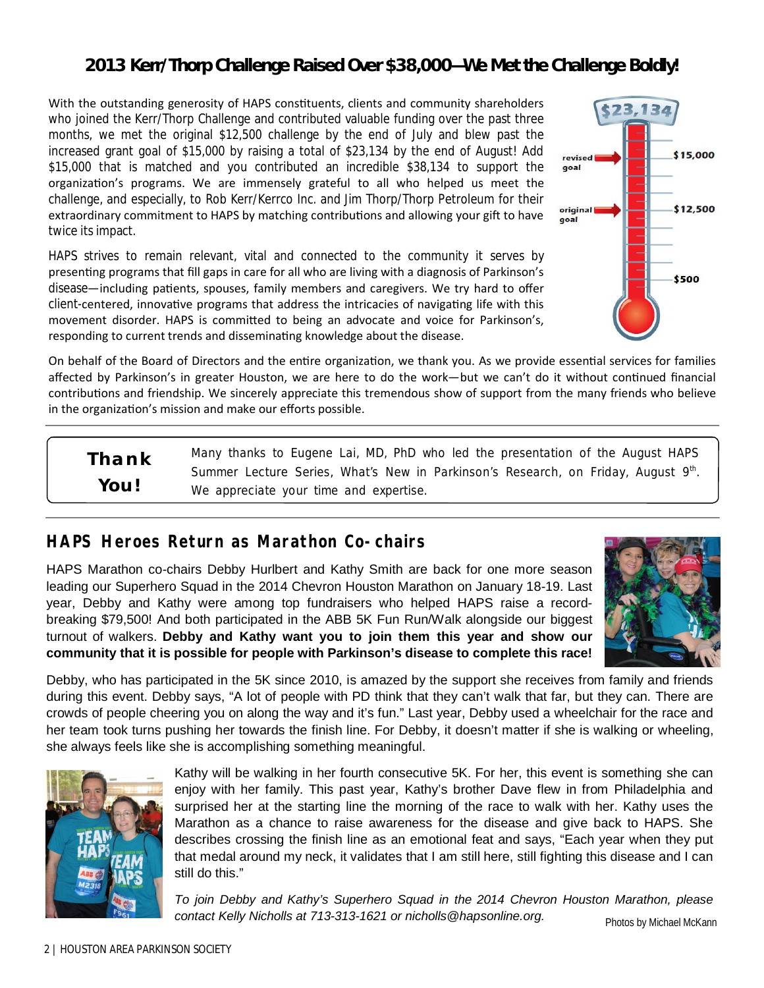# **2013 Kerr/Thorp Challenge Raised Over \$38,000—We Met the Challenge Boldly!**

With the outstanding generosity of HAPS constituents, clients and community shareholders who joined the Kerr/Thorp Challenge and contributed valuable funding over the past three months, we met the original \$12,500 challenge by the end of July and blew past the increased grant goal of \$15,000 by raising a total of \$23,134 by the end of August! Add \$15,000 that is matched and you contributed an incredible \$38,134 to support the organization's programs. We are immensely grateful to all who helped us meet the challenge, and especially, to Rob Kerr/Kerrco Inc. and Jim Thorp/Thorp Petroleum for their extraordinary commitment to HAPS by matching contributions and allowing your gift to have twice its impact.

HAPS strives to remain relevant, vital and connected to the community it serves by presenting programs that fill gaps in care for all who are living with a diagnosis of Parkinson's disease—including patients, spouses, family members and caregivers. We try hard to offer client-centered, innovative programs that address the intricacies of navigating life with this movement disorder. HAPS is committed to being an advocate and voice for Parkinson's, responding to current trends and disseminating knowledge about the disease.



On behalf of the Board of Directors and the entire organization, we thank you. As we provide essential services for families affected by Parkinson's in greater Houston, we are here to do the work—but we can't do it without continued financial contributions and friendship. We sincerely appreciate this tremendous show of support from the many friends who believe in the organization's mission and make our efforts possible.

Many thanks to Eugene Lai, MD, PhD who led the presentation of the August HAPS Summer Lecture Series, *What's New in Parkinson's Research*, on Friday, August 9<sup>th</sup>. We appreciate your time and expertise. *Thank You!*

# **HAPS Heroes Return as Marathon Co-chairs**

HAPS Marathon co-chairs Debby Hurlbert and Kathy Smith are back for one more season leading our Superhero Squad in the 2014 Chevron Houston Marathon on January 18-19. Last year, Debby and Kathy were among top fundraisers who helped HAPS raise a recordbreaking \$79,500! And both participated in the ABB 5K Fun Run/Walk alongside our biggest turnout of walkers. **Debby and Kathy want you to join them this year and show our community that it is possible for people with Parkinson's disease to complete this race!**



Debby, who has participated in the 5K since 2010, is amazed by the support she receives from family and friends during this event. Debby says, "A lot of people with PD think that they can't walk that far, but they can. There are crowds of people cheering you on along the way and it's fun." Last year, Debby used a wheelchair for the race and her team took turns pushing her towards the finish line. For Debby, it doesn't matter if she is walking or wheeling, she always feels like she is accomplishing something meaningful.



Kathy will be walking in her fourth consecutive 5K. For her, this event is something she can enjoy with her family. This past year, Kathy's brother Dave flew in from Philadelphia and surprised her at the starting line the morning of the race to walk with her. Kathy uses the Marathon as a chance to raise awareness for the disease and give back to HAPS. She describes crossing the finish line as an emotional feat and says, "Each year when they put that medal around my neck, it validates that I am still here, still fighting this disease and I can still do this."

*To join Debby and Kathy's Superhero Squad in the 2014 Chevron Houston Marathon, please contact Kelly Nicholls at 713-313-1621 or nicholls@hapsonline.org.*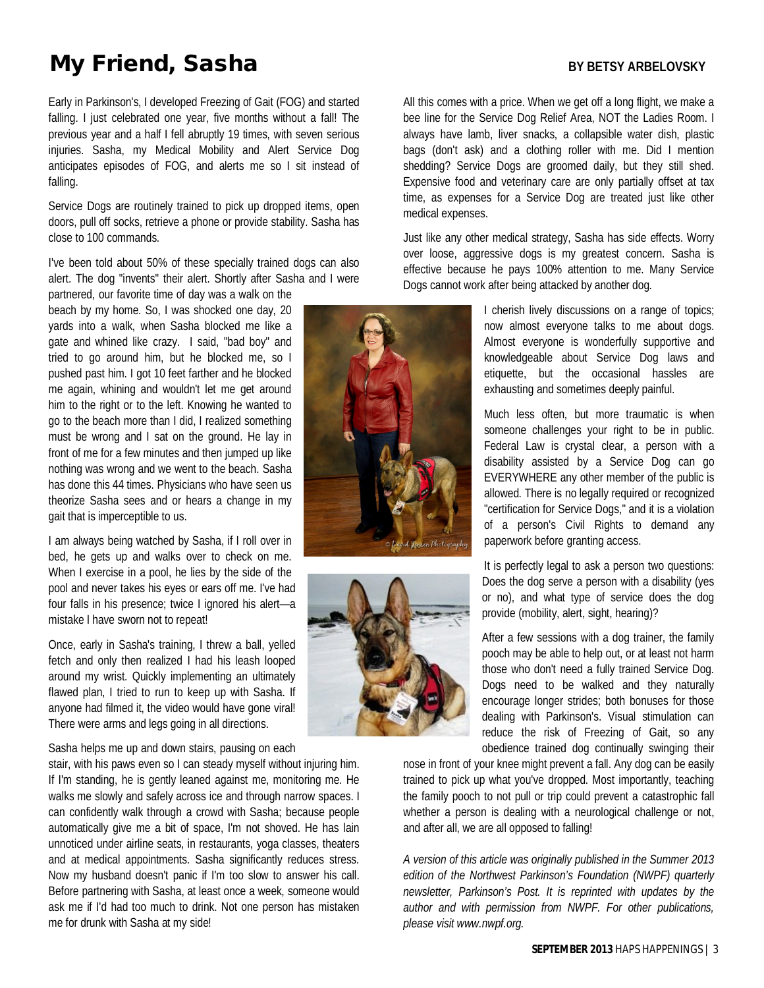# **My Friend, Sasha** BY BETSY ARBELOVSKY

Early in Parkinson's, I developed Freezing of Gait (FOG) and started falling. I just celebrated one year, five months without a fall! The previous year and a half I fell abruptly 19 times, with seven serious injuries. Sasha, my Medical Mobility and Alert Service Dog anticipates episodes of FOG, and alerts me so I sit instead of falling.

Service Dogs are routinely trained to pick up dropped items, open doors, pull off socks, retrieve a phone or provide stability. Sasha has close to 100 commands.

I've been told about 50% of these specially trained dogs can also alert. The dog "invents" their alert. Shortly after Sasha and I were

partnered, our favorite time of day was a walk on the beach by my home. So, I was shocked one day, 20 yards into a walk, when Sasha blocked me like a gate and whined like crazy. I said, "bad boy" and tried to go around him, but he blocked me, so I pushed past him. I got 10 feet farther and he blocked me again, whining and wouldn't let me get around him to the right or to the left. Knowing he wanted to go to the beach more than I did, I realized something must be wrong and I sat on the ground. He lay in front of me for a few minutes and then jumped up like nothing was wrong and we went to the beach. Sasha has done this 44 times. Physicians who have seen us theorize Sasha sees and or hears a change in my gait that is imperceptible to us.

I am always being watched by Sasha, if I roll over in bed, he gets up and walks over to check on me. When I exercise in a pool, he lies by the side of the pool and never takes his eyes or ears off me. I've had four falls in his presence; twice I ignored his alert—a mistake I have sworn not to repeat!

Once, early in Sasha's training, I threw a ball, yelled fetch and only then realized I had his leash looped around my wrist. Quickly implementing an ultimately flawed plan, I tried to run to keep up with Sasha. If anyone had filmed it, the video would have gone viral! There were arms and legs going in all directions.

Sasha helps me up and down stairs, pausing on each

stair, with his paws even so I can steady myself without injuring him. If I'm standing, he is gently leaned against me, monitoring me. He walks me slowly and safely across ice and through narrow spaces. I can confidently walk through a crowd with Sasha; because people automatically give me a bit of space, I'm not shoved. He has lain unnoticed under airline seats, in restaurants, yoga classes, theaters and at medical appointments. Sasha significantly reduces stress. Now my husband doesn't panic if I'm too slow to answer his call. Before partnering with Sasha, at least once a week, someone would ask me if I'd had too much to drink. Not one person has mistaken me for drunk with Sasha at my side!



medical expenses.



All this comes with a price. When we get off a long flight, we make a bee line for the Service Dog Relief Area, NOT the Ladies Room. I always have lamb, liver snacks, a collapsible water dish, plastic bags (don't ask) and a clothing roller with me. Did I mention shedding? Service Dogs are groomed daily, but they still shed. Expensive food and veterinary care are only partially offset at tax time, as expenses for a Service Dog are treated just like other

Just like any other medical strategy, Sasha has side effects. Worry over loose, aggressive dogs is my greatest concern. Sasha is effective because he pays 100% attention to me. Many Service Dogs cannot work after being attacked by another dog.

> I cherish lively discussions on a range of topics; now almost everyone talks to me about dogs. Almost everyone is wonderfully supportive and knowledgeable about Service Dog laws and etiquette, but the occasional hassles are exhausting and sometimes deeply painful.

> Much less often, but more traumatic is when someone challenges your right to be in public. Federal Law is crystal clear, a person with a disability assisted by a Service Dog can go EVERYWHERE any other member of the public is allowed. There is no legally required or recognized "certification for Service Dogs," and it is a violation of a person's Civil Rights to demand any paperwork before granting access.

It is perfectly legal to ask a person two questions: Does the dog serve a person with a disability (yes or no), and what type of service does the dog provide (mobility, alert, sight, hearing)?

After a few sessions with a dog trainer, the family pooch may be able to help out, or at least not harm those who don't need a fully trained Service Dog. Dogs need to be walked and they naturally encourage longer strides; both bonuses for those dealing with Parkinson's. Visual stimulation can reduce the risk of Freezing of Gait, so any obedience trained dog continually swinging their

nose in front of your knee might prevent a fall. Any dog can be easily trained to pick up what you've dropped. Most importantly, teaching the family pooch to not pull or trip could prevent a catastrophic fall whether a person is dealing with a neurological challenge or not, and after all, we are all opposed to falling!

*A version of this article was originally published in the Summer 2013 edition of the Northwest Parkinson's Foundation (NWPF) quarterly newsletter, Parkinson's Post. It is reprinted with updates by the author and with permission from NWPF. For other publications, please visit www.nwpf.org.*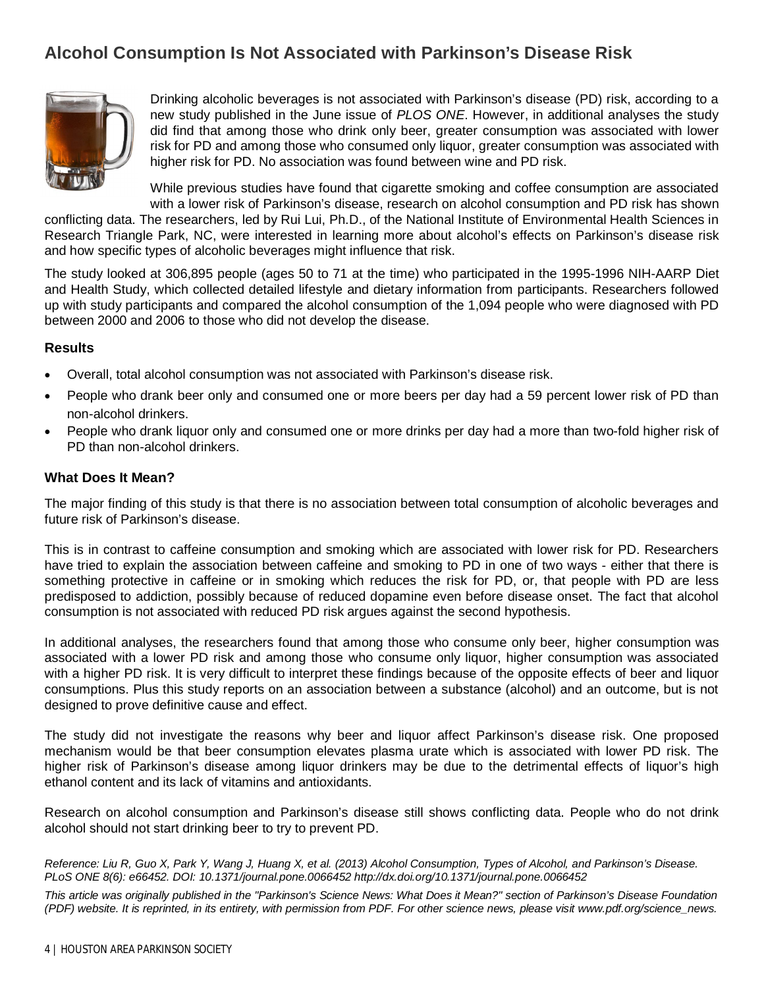# **Alcohol Consumption Is Not Associated with Parkinson's Disease Risk**



Drinking alcoholic beverages is not associated with Parkinson's disease (PD) risk, according to a new study published in the June issue of *PLOS ONE*. However, in additional analyses the study did find that among those who drink only beer, greater consumption was associated with lower risk for PD and among those who consumed only liquor, greater consumption was associated with higher risk for PD. No association was found between wine and PD risk.

While previous studies have found that cigarette smoking and coffee consumption are associated with a lower risk of Parkinson's disease, research on alcohol consumption and PD risk has shown

conflicting data. The researchers, led by Rui Lui, Ph.D., of the National Institute of Environmental Health Sciences in Research Triangle Park, NC, were interested in learning more about alcohol's effects on Parkinson's disease risk and how specific types of alcoholic beverages might influence that risk.

The study looked at 306,895 people (ages 50 to 71 at the time) who participated in the 1995-1996 NIH-AARP Diet and Health Study, which collected detailed lifestyle and dietary information from participants. Researchers followed up with study participants and compared the alcohol consumption of the 1,094 people who were diagnosed with PD between 2000 and 2006 to those who did not develop the disease.

#### **Results**

- Overall, total alcohol consumption was not associated with Parkinson's disease risk.
- People who drank beer only and consumed one or more beers per day had a 59 percent lower risk of PD than non-alcohol drinkers.
- People who drank liquor only and consumed one or more drinks per day had a more than two-fold higher risk of PD than non-alcohol drinkers.

#### **What Does It Mean?**

The major finding of this study is that there is no association between total consumption of alcoholic beverages and future risk of Parkinson's disease.

This is in contrast to caffeine consumption and smoking which are associated with lower risk for PD. Researchers have tried to explain the association between caffeine and smoking to PD in one of two ways - either that there is something protective in caffeine or in smoking which reduces the risk for PD, or, that people with PD are less predisposed to addiction, possibly because of reduced dopamine even before disease onset. The fact that alcohol consumption is not associated with reduced PD risk argues against the second hypothesis.

In additional analyses, the researchers found that among those who consume only beer, higher consumption was associated with a lower PD risk and among those who consume only liquor, higher consumption was associated with a higher PD risk. It is very difficult to interpret these findings because of the opposite effects of beer and liquor consumptions. Plus this study reports on an association between a substance (alcohol) and an outcome, but is not designed to prove definitive cause and effect.

The study did not investigate the reasons why beer and liquor affect Parkinson's disease risk. One proposed mechanism would be that beer consumption elevates plasma urate which is associated with lower PD risk. The higher risk of Parkinson's disease among liquor drinkers may be due to the detrimental effects of liquor's high ethanol content and its lack of vitamins and antioxidants.

Research on alcohol consumption and Parkinson's disease still shows conflicting data. People who do not drink alcohol should not start drinking beer to try to prevent PD.

*Reference: Liu R, Guo X, Park Y, Wang J, Huang X, et al. (2013) Alcohol Consumption, Types of Alcohol, and Parkinson's Disease. PLoS ONE 8(6): e66452. DOI: 10.1371/journal.pone.0066452 http://dx.doi.org/10.1371/journal.pone.0066452*

*This article was originally published in the "Parkinson's Science News: What Does it Mean?" section of Parkinson's Disease Foundation (PDF) website. It is reprinted, in its entirety, with permission from PDF. For other science news, please visit www.pdf.org/science\_news.*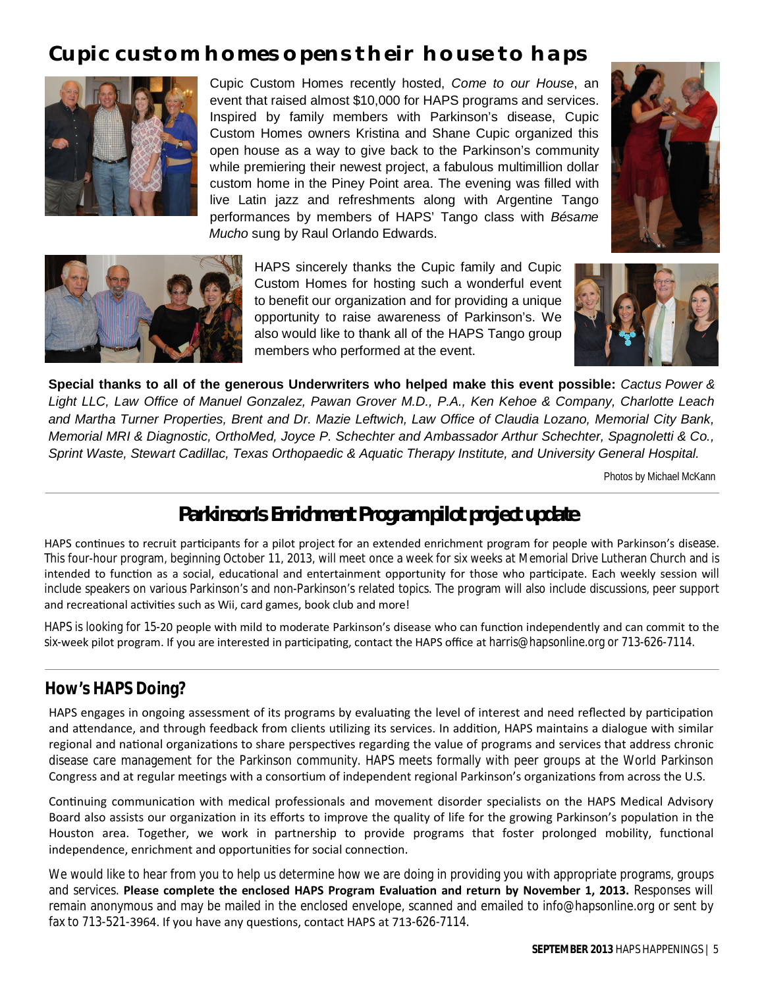# **Cupic custom homes opens their house to haps**



Cupic Custom Homes recently hosted, *Come to our House*, an event that raised almost \$10,000 for HAPS programs and services. Inspired by family members with Parkinson's disease, Cupic Custom Homes owners Kristina and Shane Cupic organized this open house as a way to give back to the Parkinson's community while premiering their newest project, a fabulous multimillion dollar custom home in the Piney Point area. The evening was filled with live Latin jazz and refreshments along with Argentine Tango performances by members of HAPS' Tango class with *Bésame Mucho* sung by Raul Orlando Edwards.





HAPS sincerely thanks the Cupic family and Cupic Custom Homes for hosting such a wonderful event to benefit our organization and for providing a unique opportunity to raise awareness of Parkinson's. We also would like to thank all of the HAPS Tango group members who performed at the event.



**Special thanks to all of the generous Underwriters who helped make this event possible:** *Cactus Power & Light LLC, Law Office of Manuel Gonzalez, Pawan Grover M.D., P.A., Ken Kehoe & Company, Charlotte Leach and Martha Turner Properties, Brent and Dr. Mazie Leftwich, Law Office of Claudia Lozano, Memorial City Bank, Memorial MRI & Diagnostic, OrthoMed, Joyce P. Schechter and Ambassador Arthur Schechter, Spagnoletti & Co., Sprint Waste, Stewart Cadillac, Texas Orthopaedic & Aquatic Therapy Institute, and University General Hospital.*

Photos by Michael McKann

# **Parkinson's Enrichment Program pilot project update**

HAPS continues to recruit participants for a pilot project for an extended enrichment program for people with Parkinson's disease. This four-hour program, beginning October 11, 2013, will meet once a week for six weeks at Memorial Drive Lutheran Church and is intended to function as a social, educational and entertainment opportunity for those who participate. Each weekly session will include speakers on various Parkinson's and non-Parkinson's related topics. The program will also include discussions, peer support and recreational activities such as Wii, card games, book club and more!

HAPS is looking for 15-20 people with mild to moderate Parkinson's disease who can function independently and can commit to the six-week pilot program. If you are interested in participating, contact the HAPS office at harris@hapsonline.org or 713-626-7114.

# **How's HAPS Doing?**

HAPS engages in ongoing assessment of its programs by evaluating the level of interest and need reflected by participation and attendance, and through feedback from clients utilizing its services. In addition, HAPS maintains a dialogue with similar regional and national organizations to share perspectives regarding the value of programs and services that address chronic disease care management for the Parkinson community. HAPS meets formally with peer groups at the World Parkinson Congress and at regular meetings with a consortium of independent regional Parkinson's organizations from across the U.S.

Continuing communication with medical professionals and movement disorder specialists on the HAPS Medical Advisory Board also assists our organization in its efforts to improve the quality of life for the growing Parkinson's population in the Houston area. Together, we work in partnership to provide programs that foster prolonged mobility, functional independence, enrichment and opportunities for social connection.

We would like to hear from you to help us determine how we are doing in providing you with appropriate programs, groups and services. Please complete the enclosed HAPS Program Evaluation and return by November 1, 2013. Responses will remain anonymous and may be mailed in the enclosed envelope, scanned and emailed to info@hapsonline.org or sent by fax to 713-521-3964. If you have any questions, contact HAPS at 713-626-7114.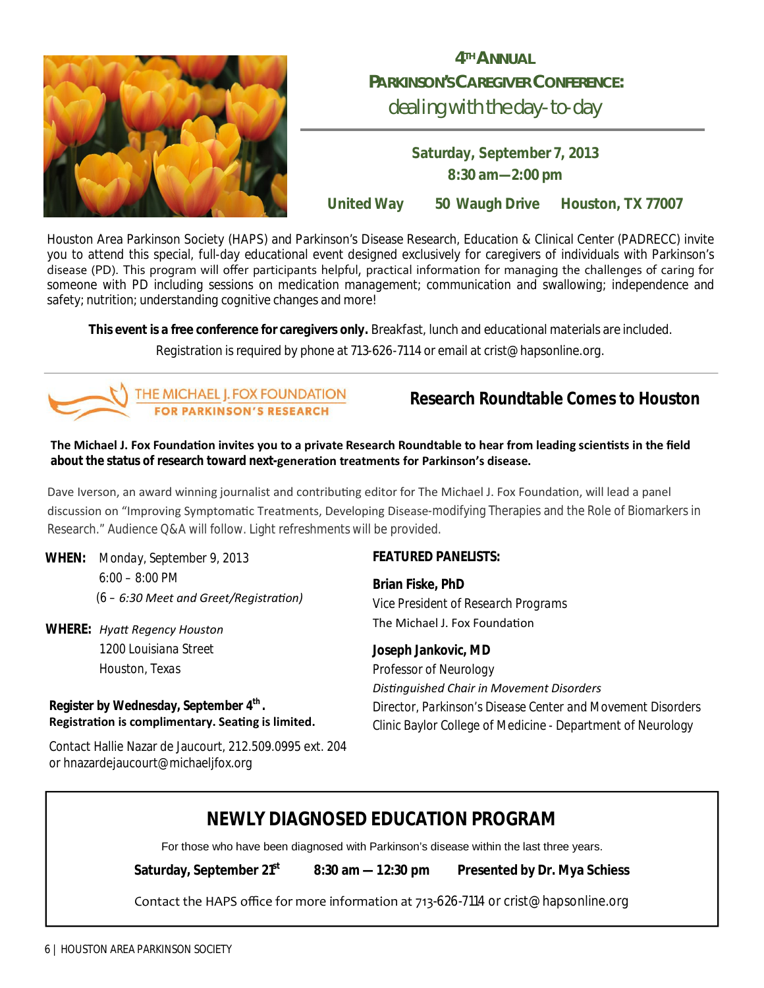

# **4THANNUAL PARKINSON'SCAREGIVERCONFERENCE:** dealing with the day-to-day

**Saturday, September 7, 2013 8:30 am—2:00 pm**

**United Way 50 Waugh Drive Houston, TX 77007**

Houston Area Parkinson Society (HAPS) and Parkinson's Disease Research, Education & Clinical Center (PADRECC) invite you to attend this special, full-day educational event designed exclusively for caregivers of individuals with Parkinson's disease (PD). This program will offer participants helpful, practical information for managing the challenges of caring for someone with PD including sessions on medication management; communication and swallowing; independence and safety; nutrition; understanding cognitive changes and more!

**This event is a free conference for caregivers only.** Breakfast, lunch and educational materials are included.

Registration is required by phone at 713-626-7114 or email at crist@hapsonline.org.



# **Research Roundtable Comes to Houston**

The Michael J. Fox Foundation invites you to a private Research Roundtable to hear from leading scientists in the field **about the status of research toward next-generaƟon treatments for Parkinson's disease.**

Dave Iverson, an award winning journalist and contributing editor for The Michael J. Fox Foundation, will lead a panel discussion on "Improving Symptomatic Treatments, Developing Disease-modifying Therapies and the Role of Biomarkers in Research." Audience Q&A will follow. Light refreshments will be provided.

**WHEN:** *Monday, September 9, 2013 6:00 – 8:00 PM (6 – 6:30 Meet and Greet/RegistraƟon)*

**WHERE:** *HyaƩ Regency Houston 1200 Louisiana Street Houston, Texas*

## **Register by Wednesday, September 4th . RegistraƟon is complimentary. SeaƟng is limited.**

Contact Hallie Nazar de Jaucourt, 212.509.0995 ext. 204 or hnazardejaucourt@michaeljfox.org

## **FEATURED PANELISTS:**

**Brian Fiske, PhD** *Vice President of Research Programs* The Michael J. Fox Foundation

**Joseph Jankovic, MD** *Professor of Neurology DisƟnguished Chair in Movement Disorders Director, Parkinson's Disease Center and Movement Disorders Clinic* Baylor College of Medicine - Department of Neurology

# **NEWLY DIAGNOSED EDUCATION PROGRAM**

.For those who have been diagnosed with Parkinson's disease within the last three years.

**Saturday, September 21st 8:30 am —1 2:30 pm Presented by Dr. Mya Schiess** 

Contact the HAPS office for more information at 713-626-7114 or crist@hapsonline.org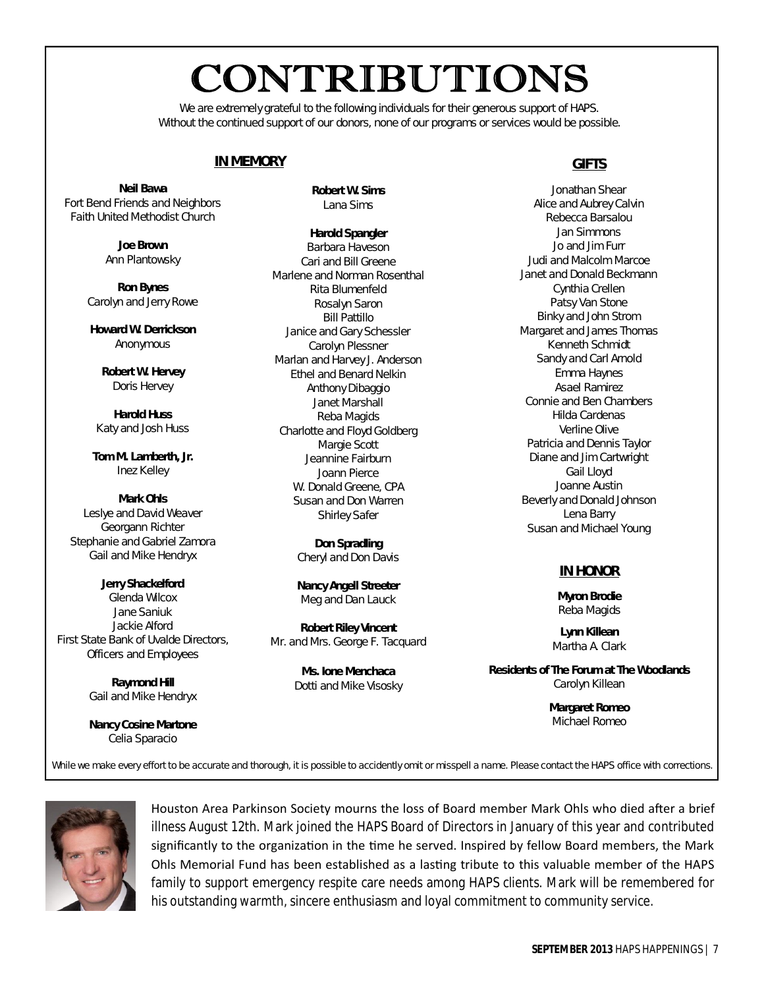# CONTRIBUTIONS

We are extremely grateful to the following individuals for their generous support of HAPS. Without the continued support of our donors, none of our programs or services would be possible.

## **IN MEMORY**

**Neil Bawa** Fort Bend Friends and Neighbors Faith United Methodist Church

> **Joe Brown** Ann Plantowsky

**Ron Bynes** Carolyn and Jerry Rowe

**Howard W. Derrickson** Anonymous

> **Robert W. Hervey** Doris Hervey

**Harold Huss** Katy and Josh Huss

**Tom M. Lamberth, Jr.** Inez Kelley

**Mark Ohls** Leslye and David Weaver Georgann Richter Stephanie and Gabriel Zamora Gail and Mike Hendryx

**Jerry Shackelford** Glenda Wilcox Jane Saniuk Jackie Alford First State Bank of Uvalde Directors, Officers and Employees

> **Raymond Hill** Gail and Mike Hendryx

> **Nancy Cosine Martone** Celia Sparacio

**Robert W. Sims** Lana Sims

**Harold Spangler** Barbara Haveson Cari and Bill Greene Marlene and Norman Rosenthal Rita Blumenfeld Rosalyn Saron Bill Pattillo Janice and Gary Schessler Carolyn Plessner Marlan and Harvey J. Anderson Ethel and Benard Nelkin Anthony Dibaggio Janet Marshall Reba Magids Charlotte and Floyd Goldberg Margie Scott Jeannine Fairburn Joann Pierce W. Donald Greene, CPA Susan and Don Warren Shirley Safer

> **Don Spradling** Cheryl and Don Davis

> **Nancy Angell Streeter** Meg and Dan Lauck

**Robert Riley Vincent** Mr. and Mrs. George F. Tacquard

> **Ms. Ione Menchaca** Dotti and Mike Visosky

## **GIFTS**

Jonathan Shear Alice and Aubrey Calvin Rebecca Barsalou Jan Simmons Jo and Jim Furr Judi and Malcolm Marcoe Janet and Donald Beckmann Cynthia Crellen Patsy Van Stone Binky and John Strom Margaret and James Thomas Kenneth Schmidt Sandy and Carl Arnold Emma Haynes Asael Ramirez Connie and Ben Chambers Hilda Cardenas Verline Olive Patricia and Dennis Taylor Diane and Jim Cartwright Gail Lloyd Joanne Austin Beverly and Donald Johnson Lena Barry Susan and Michael Young

## **IN HONOR**

**Myron Brodie** Reba Magids

**Lynn Killean** Martha A. Clark

**Residents of The Forum at The Woodlands** Carolyn Killean

> **Margaret Romeo** Michael Romeo

While we make every effort to be accurate and thorough, it is possible to accidently omit or misspell a name. Please contact the *HAPS* office with corrections.



Houston Area Parkinson Society mourns the loss of Board member Mark Ohls who died after a brief illness August 12th. Mark joined the HAPS Board of Directors in January of this year and contributed significantly to the organization in the time he served. Inspired by fellow Board members, the Mark Ohls Memorial Fund has been established as a lasting tribute to this valuable member of the HAPS family to support emergency respite care needs among HAPS clients. Mark will be remembered for his outstanding warmth, sincere enthusiasm and loyal commitment to community service.